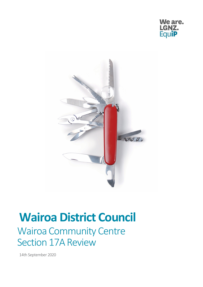



# **Wairoa District Council**

## Wairoa Community Centre Section 17A Review

14th September 2020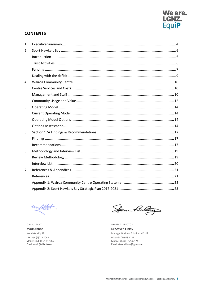

#### **CONTENTS**

| 1. |  |
|----|--|
| 2. |  |
|    |  |
|    |  |
|    |  |
|    |  |
| 4. |  |
|    |  |
|    |  |
|    |  |
| 3. |  |
|    |  |
|    |  |
|    |  |
| 5. |  |
|    |  |
|    |  |
| 6. |  |
|    |  |
|    |  |
| 7. |  |
|    |  |
|    |  |
|    |  |

imactor

CONSULTANT **Mark Abbot** Associate - EquiP DDI: +64 (9)215 7065 Mobile: +64 (0) 21 412 872 Email: mark@abbot.co.nz

Henn Fieley

PROJECT DIRECTOR

Dr Steven Finlay Manager Business Solutions - EquiP DDI: +64 (4) 978 1241 Mobile: +64 (0) 22592124 Email: steven.finlay@lgnz.co.nz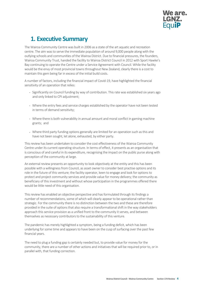

### <span id="page-2-0"></span>**1. Executive Summary**

The Wairoa Community Centre was built in 2006 as a state of the art aquatic and recreation centre. The aim wasto serve the immediate population of around 9,000 people along with the outlying schools and communities of the Wairoa District. Due to financial pressures, the founders, Wairoa Community Trust, handed the facility to Wairoa District Council in 2012 with Sport Hawke's Bay continuing to operate the Centre under a Service Agreement with Council. While the facility would be the envy of most provincial towns throughout New Zealand, clearly there is a cost to maintain this gem being far in excess of the initial build costs.

A number of factors, including the financial impact of Covid-19, have highlighted the financial sensitivity of an operation that relies:

- **•** Significantly on Council funding by way of contribution. This rate was established six years ago and only linked to CPI adjustment;
- **•** Where the entry fees and service charges established by the operator have not been tested in terms of demand sensitivity;
- **•** Where there is both vulnerability in annual amount and moral conflict in gaming machine grants; and
- **•** Where third party funding options generally are limited for an operation such as this and have not been sought, let alone, exhausted, by either party.

This review has been undertaken to consider the cost effectiveness of the Wairoa Community Centre under its current operating structure. In terms of effect, it presents as an organisation that is conscious of and careful in its expenditure, recognising the impact on the public purse along with perception of the community at large.

An external review presents an opportunity to look objectively at the entity and this has been possible with a willingness from Council, as asset owner to consider best practise options and its role in the future of this venture; the facility operator, keen to engage and look for options to protect and project community services and provide value for money delivery; the community as beneficiary of this investment and without whose participation in the programmes offered there would be little need of this organisation.

This review has enabled an objective perspective and has formulated through its findings a number of recommendations, some of which will clearly appear to be operational rather than strategic. For the community there is no distinction between the two and these are therefore provided in the suite of options that also require a transformational shift in the way stakeholders approach this service provision as a unified front to the community it serves, and between themselves as necessary contributors to the sustainability of this venture.

The pandemic has merely highlighted a symptom, being a funding deficit, which has been underlying for some time and appears to have been on the cusp of surfacing over the past few financial years.

The need to plug a funding gap is certainly needed but, to provide value for money for the community, there are a number of other actions and initiatives that will be required prior to, or in parallel with, that funding correction.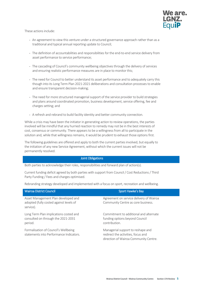

These actions include:

- **•** An agreement to view this venture under a structured governance approach rather than as a traditional and typical annual reporting update to Council;
- **•** The definition of accountabilities and responsibilities for the end-to-end service delivery from asset performance to service performance;
- **•** The cascading of Council's community wellbeing objectives through the delivery of services and ensuring realistic performance measures are in place to monitor this;
- **•** The need for Council to better understand its asset performance and to adequately carry this though into its Long Term Plan 2021-2021 deliberations and consultation processes to enable and ensure transparent decision-making;
- **•** The need for more structured managerial support of the service provider to build strategies and plans around coordinated promotion, business development, service offering, fee and charges setting; and
- **•** A refresh and rebrand to build facility identity and better community connection.

While a crisis may have been the initiator in generating action to review operations, the parties involved will be mindful that any hurried reaction to remedy may not be in the best interests of cost, consensus or community. There appears to be a willingness from all to participate in the solution and, while that willingness remains, it would be prudent to exhaust those options first.

The following guidelines are offered and apply to both the current parties involved, but equally to the initiation of any new Service Agreement, without which the current issues will not be permanently resolved.

#### Joint Obligations

Both parties to acknowledge their roles, responsibilities and forward plan of action(s).

Current funding deficit agreed by both parties with support from Council / Cost Reductions / Third Party Funding / Fees and charges optimised.

Rebranding strategy developed and implemented with a focus on sport, recreation and wellbeing.

| <b>Wairoa District Council</b>                                                              | Sport Hawke's Bay                                                                                                |
|---------------------------------------------------------------------------------------------|------------------------------------------------------------------------------------------------------------------|
| Asset Management Plan developed and<br>adopted (fully costed against levels of<br>service). | Agreement on service delivery of Wairoa<br>Community Centre as core business.                                    |
| Long Term Plan implications costed and<br>consulted on through the 2021-2031<br>period.     | Commitment to additional and alternate<br>funding options beyond Council<br>contribution.                        |
| Formalisation of Council's Wellbeing<br>statements into Performance Indicators.             | Managerial support to reshape and<br>redirect the activities, focus and<br>direction of Wairoa Community Centre. |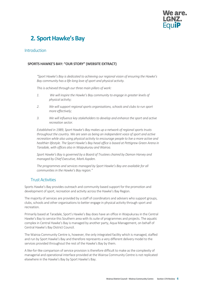

## <span id="page-4-0"></span>**2. Sport Hawke's Bay**

#### <span id="page-4-1"></span>Introduction

#### **SPORTS HAWKE'S BAY: "OUR STORY" (WEBSITE EXTRACT)**

*"Sport Hawke's Bay is dedicated to achieving our regional vision of ensuring the Hawke's Bay community has a life-long love of sport and physical activity.*

*This is achieved through our three main pillars of work:*

- *1. We will inspire the Hawke's Bay community to engage in greater levels of physical activity;*
- *2. We will support regional sports organisations, schools and clubs to run sport more effectively;*
- *3. We will influence key stakeholders to develop and enhance the sport and active recreation sector.*

*Established in 1989, Sport Hawke's Bay makes up a network of regional sports trusts throughout the country. We are seen as being an independent voice of sport and active recreation while also using physical activity to encourage people to live a more active and healthier lifestyle. The Sport Hawke's Bay head office is based at Pettigrew Green Arena in Taradale, with offices also in Waipukurau and Wairoa.*

*Sport Hawke's Bay is governed by a Board of Trustees chaired by Damon Harvey and managed by Chief Executive, Mark Aspden.*

*The programmes and services managed by Sport Hawke's Bay are available for all communities in the Hawke's Bay region."*

#### <span id="page-4-2"></span>Trust Activities

Sports Hawke's Bay provides outreach and community based support for the promotion and development of sport, recreation and activity across the Hawke's Bay Region.

The majority of services are provided by a staff of coordinators and advisers who support groups, clubs, schools and other organisations to better engage in physical activity through sport and recreation.

Primarily based at Taradale, Sport's Hawke's Bay does have an office in Waipukurau in the Central Hawke's Bay to service this Southern area with its suite of programmes and projects. The aquatic complex in Central Hawke's Bay is managed by another party, Aqua Management, on behalf of Central Hawke's Bay District Council.

The Wairoa Community Centre is, however, the only integrated facility which is managed, staffed and run by Sport Hawke's Bay and therefore represents a very different delivery model to the services provided throughout the rest of the Hawke's Bay by them.

A like-for-like comparison of service provision is therefore difficult to make as the complexity of managerial and operational interface provided at the Wairoa Community Centre is not replicated elsewhere in the Hawke's Bay by Sport Hawke's Bay.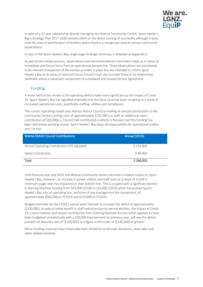

In spite of a 12-year relationship directly managing the Wairoa Community Centre, Sport Hawke's Bay's Strategic Plan 2017-2020 remains silent on the direct running of any facility although it does note the area of identification of facilities where there is a recognised need to service community expectations.

A copy of the Sport Hawke's Bay single-page Strategic Summary is attached at Appendix 2.

As part of this review process, observations and recommendations have been made as to areas of immediate and future focus from an operational perspective. These observations are considered to be relevant irrespective of the service provider in place but are intended to inform Sport Hawke's Bay as to areas of need and focus. Council must also consider these in its relationship stocktake and as a necessary component of a reviewed and revised Service Agreement.

#### <span id="page-5-0"></span>Funding

A driver behind this review is the operating deficit made more significant by the impact of Covid-19. Sport Hawke's Bay has signalled internally that this fiscal issue has been on-going as a result of increased operational costs, specifically staffing, utilities and compliance.

The current operating model sees Wairoa District Council providing an annual contribution to the Community Centre running costs of approximately \$254,000 p.a. with an additional salary contribution of \$30,000p.a. Council had contributed a vehicle in the past, but this funding has been withdrawn pending review. Sport Hawke's Bay bears all responsibility for operational surplus and / or loss.

| <b>Wairoa District Council Contributions:</b> | Annual (2019): |
|-----------------------------------------------|----------------|
| Annual Operating Contribution (CPI adjusted)  | \$254,000      |
| Salary Contribution                           | \$30,000       |
| Total                                         | \$284,000      |

Until financial year end 2019, the Wairoa Community Centre returned a modest surplus to Sport Hawke's Bay. However, an increase in power utilities and staff costs as a result of a shift in minimum wage rates has impacted on their bottom line. Thisis coupled with a significant decline in Gaming Machine funding from \$43,000 (2018) to \$16,000 (2019) which has pushed Sports Hawke's Bay into an operating loss, exclusive of any management fee component, of approximately (\$66,000) in FY2019 and (\$75,000) in FY2020.

Budget estimates for the FY2021 period were forecast to increase this deficit to approximately (\$100,000). In spite of some benefit in staff reduction due to natural attrition, the impact of Covid-19, a more realistic (and lesser) contribution from Gaming Machine income which appears to have been budgeted unrealistically with a \$20,000 improvement on previous year, will see this deficit pushed out beyond a loss of (\$100,000) to a figure in the order of (\$140,000) or greater.

Minor funding revenues have historically been limited to small scale donations, shop sales and other related activities.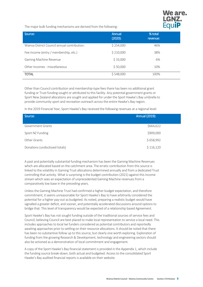

The major bulk funding mechanisms are derived from the following:

| Source:                                      | Annual<br>(2020): | % total<br>revenue: |
|----------------------------------------------|-------------------|---------------------|
| Wairoa District Council annual contribution: | \$254,000         | 46%                 |
| Fee income (entry / membership, etc.)        | \$210,000         | 38%                 |
| <b>Gaming Machine Revenue</b>                | \$33,000          | 6%                  |
| Other Incomes - miscellaneous                | \$50,000          | 10%                 |
| <b>TOTAL</b>                                 | \$548,000         | 100%                |

Other than Council contribution and membership-type fees there has been no additional grant funding or Trust funding sought or attributed to this facility. Any potential government grants or Sport New Zealand allocations are sought and applied for under the Sport Hawke's Bay umbrella to provide community sport and recreation outreach across the entire Hawke's Bay region.

In the 2019 Financial Year, Sport Hawke's Bay received the following revenues at a regional level:

| Source:                        | Annual (2019): |
|--------------------------------|----------------|
| Government Grants              | \$664,622      |
| Sport NZ Funding               | \$909,000      |
| Other Grants                   | \$658,992      |
| Donations (undisclosed totals) | \$116,120      |

A past and potentially substantial funding mechanism has been the Gaming Machine Revenues which are allocated based on the catchment area. The erratic contribution from this source is linked to the volatility in Gaming Trust allocations determined annually and from a dedicated Trust controlling that activity. What is surprising is the budget contribution (2021) against this income stream which sees an expectation of unprecedented Gaming Machine revenues from a comparatively low base in the preceding years.

Unless the Gaming Machine Trust had confirmed a higher budget expectation, and therefore commitment, it seems unreasonable for Sport Hawke's Bay to have arbitrarily considered the potential for a higher pay-out as budgeted. As noted, preparing a realistic budget would have signalled a greater deficit, and sooner, and potentially accelerated discussions around options to bridge that. This level of transparency would be expected of a relationship based Agreement.

Sport Hawke's Bay has not sought funding outside of the traditional sources of service fees and Council, believing Council are best placed to make local representation to service a local need. This includes approaches to local Iwi funders considered as potential contributors and reportedly awaiting approaches prior to settling on their resource allocations. It should be noted that there has been no substantive follow up to this source, but clearly one worth exploring. Exploration of funding from the growing Research & Development, technology and engineering sectors should also be actioned as a demonstration of local commitment and engagement.

A copy of the Sport Hawke's Bay financial statement is provided in the Appendix 1, which include the funding source break-down, both actual and budgeted. Access to the consolidated Sport Hawke's Bay audited financial reports is available on their website.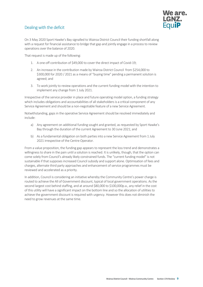#### <span id="page-7-0"></span>Dealing with the deficit



On 3 May 2020 Sport Hawke's Bay signalled to Wairoa District Council their funding shortfall along with a request for financial assistance to bridge that gap and jointly engage in a process to review operations over the balance of 2020.

That request is made up of the following:

- 1. A one-off contribution of \$49,000 to cover the direct impact of Covid-19;
- 2. An increase in the contribution made by Wairoa District Council from \$254,000 to \$300,000 for 2020 / 2021 as a means of "buying time" pending a permanent solution is agreed; and
- 3. To work jointly to review operations and the current funding model with the intention to implement any change from 1 July 2021.

Irrespective of the service provider in place and future operating model option, a funding strategy which includes obligations and accountabilities of all stakeholders is a critical component of any Service Agreement and should be a non-negotiable feature of a new Service Agreement.

Notwithstanding, gaps in the operative Service Agreement should be resolved immediately and include:

- a) Any agreement on additional funding sought and granted, as requested by Sport Hawke's Bay through the duration of the current Agreement to 30 June 2021; and
- b) As a fundamental obligation on both parties into a new Service Agreement from 1 July 2021 irrespective of the Centre Operator.

From a value proposition, the funding gap appears to represent the loss trend and demonstrates a willingness to share in the pain until a solution is reached. It is unlikely, though, that the option can come solely from Council's already likely constrained funds. The "current funding model" is not sustainable if that supposes increased Council subsidy and support alone. Optimisation of fees and charges, alternate third party approaches and enhancement of service programmes must be reviewed and accelerated as a priority.

In addition, Council is considering an initiative whereby the Community Centre's power charge is routed to achieve the All of Government discount, typical of local government operations. As the second largest cost behind staffing, and at around \$80,000 to \$100,000p.a., any relief in the cost of this utility will have a significant impact on the bottom line and so the allocation of utilities to achieve the government discount is required with urgency. However this does not diminish the need to grow revenues at the same time.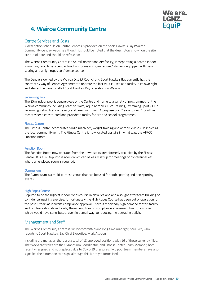

## <span id="page-8-0"></span>**4. Wairoa Community Centre**

#### <span id="page-8-1"></span>Centre Services and Costs

A description schedule on Centre Services is provided on the Sport Hawke's Bay (Wairoa Community Centre) web-site although it should be noted that the descriptors shown on the site are out of date and should be refreshed:

The Wairoa Community Centre is a \$4 million wet and dry facility, incorporating a heated indoor swimming pool, fitness centre, function rooms and gymnasium / stadium, equipped with bench seating and a high ropes confidence course.

The Centre is owned by the Wairoa District Council and Sport Hawke's Bay currently hasthe contract by way of Service Agreement to operate the facility. It is used as a facility in its own right and also as the base for all of Sport Hawke's Bay operations in Wairoa.

#### Swimming Pool

The 25m indoor pool is centre-piece of the Centre and home to a variety of programmes for the Wairoa community including Learn to Swim, Aqua Aerobics, Dive Training, Swimming Sports, Club Swimming, rehabilitation training and lane swimming. A purpose built "learn to swim" pool has recently been constructed and provides a facility for pre and school programmes.

#### Fitness Centre

The Fitness Centre incorporates cardio machines, weight training and aerobic classes. It serves as the local community gym. The Fitness Centre is now located upstairs in, what was, the AFFCO Function Room.

#### Function Room

The Function Room now operates from the down-stairs area formerly occupied by the Fitness Centre. It is a multi-purpose room which can be easily set up for meetings or conferences etc. where an enclosed room is required.

#### **Gymnasium**

The Gymnasium is a multi-purpose venue that can be used for both sporting and non-sporting events.

#### High Ropes Course

Reputed to be the highest indoor ropes course in New Zealand and a sought-after team building or confidence inspiring exercise. Unfortunately the High Ropes Course has been out of operation for the past 2-years as it awaits compliance approval. There is reportedly high demand for this facility and no clear rationale as to why the expenditure on compliance assessment has not occurred which would have contributed, even in a small way, to reducing the operating deficit.

#### <span id="page-8-2"></span>Management and Staff

The Wairoa Community Centre is run by committed and long-time manager, Sara Bird, who reports to Sport Hawke's Bay Chief Executive, Mark Aspden.

Including the manager, there are a total of 18 approved positions with 16 of these currently filled. The two vacant roles are the Gymnasium Coordinator, and Fitness Centre Team Member, both recently resigned and not replaced due to Covid-19 pressures. Two pool team members have also signalled their intention to resign, although this is not yet formalised.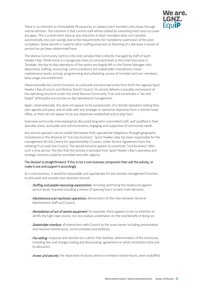

There is no intention to immediately fill vacancies or replace team members who leave through natural attrition. The intention is that current staff will be utilised by extending their hours to cover any gaps. This is a short-term view as any reduction in team members does not translate automatically into cost savings due to the requirements for mandatory supervision of the pool complexes. Some benefit is noted in other staffing areas but no factoring of a decrease in levels of service has yet been determined here.

The Wairoa Community Centre is the only complex that is directly managed by staff of Sport Hawke's Bay. While there is a recognised chain of command back to the Chief Executive in Taradale, the day-to-day operations of the centre are largely left to the Centre Manager who determines staffing; resourcing; communications and stakeholder interactions; minor maintenance works; pricing; programming and scheduling; access of member and non-members; koha usage and entitlement.

Observationally the Centre functions as a discrete and divorced entity from both the regional Sport Hawke's Bay structure and Wairoa District Council. Its service delivery is possibly reminiscent of the operating structure under the initial Wairoa Community Trust and constitutes a "set and forget" philosophy around day-to-day operational management.

Again, observationally, this does not appear to be symptomatic of a remote operation setting their own agenda and pace, and at odds with any strategic or operative objectives from a remote head office, as there do not appear to be any objectives established and at play here.

Extensive community interviewing has discussed long-term committed staff; well qualified in their specialty areas; accessible and communicative; engaging and supportive of community needs

Any service operator cannot shield themselves from operational obligations through geographic remoteness or the distance of "not core business". Sport Hawke's Bay has been responsible for the management for this Centre for approximately 12-years, under Service Agreement from the initiating Trust and now Council. This would certainly appear to constitute "core business" after such a time period. The fact that this activity is excluded from Sport Hawke's Bay's operative and strategic horizons could be remedied and with urgency.

#### The decision is straightforward: If this is not a core business component then exit the activity, or make it one and support it accordingly.

As a core business, it would be reasonable and appropriate for any remote management function to articulate and provide clear direction around:

- Staffing and people-resourcing expectations: including optimising the headcount against service levels required including a review of opening hours to best meet demand;
- Maintenance and machinery operations: demarcation of the roles between General Maintenance Staff and Council;
- Remediation of out-of-service equipment: for example, there appears to be no intention to certify the high-rope course, nor any analysis undertaken on the cost/benefit of doing so;
- *Stakeholder interface*: all interactions with Council as the asset owner including preventative and reactive maintenance, communication and publicity;
- Fee setting: response and reaction to a call for free facilities; determination of fee structures, including fees and charges scaling and discounting; agreement on what constitutes koha and its allocation;
- Access and security; the separation of access points to enhance service hours, even unstaffed;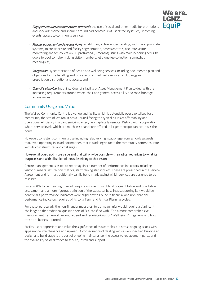

- *Engagement and communication protocols*: the use of social and other media for promotions and specials; "name and shame" around bad behaviour of users; facility issues; upcoming events; access to community services;
- People, equipment and process flows: establishing a clear understanding, with the appropriate systems, to consider site and facility segmentation, access controls, accurate visitor monitoring and fee collection i.e. protracted (6-months) issues with malfunctioning security doors to pool complex making visitor numbers, let alone fee collection, somewhat meaningless;
- Integration: synchronisation of health and wellbeing services including documented plan and objectives for the handling and processing of third party services, including green prescription distribution and access; and
- Council's planning: Input into Council's facility or Asset Management Plan to deal with the increasing requirements around wheel-chair and general accessibility and road frontage access issues.

#### <span id="page-10-0"></span>Community Usage and Value

The Wairoa Community Centre is a venue and facility which is potentially over capitalised for a community the size of Wairoa. It has a Council facing the typical issues of affordability and operational efficiency in a pandemic-impacted, geographically remote, District with a population where service levels which are much less than those offered in larger metropolitan centres is the norm.

However, consistent community use including relatively high patronage from schools suggests that, even operating in its ad hoc manner, that it is adding value to the community commensurate with its cost structures and challenges.

#### However, it could add more value and that will only be possible with a radical rethink as to what its purpose is and with all stakeholders subscribing to that vision.

Centre management is asked to report against a number of performance indicators including visitor numbers, satisfaction metrics, staff training statistics etc. These are prescribed in the Service Agreement and form a traditionally vanilla benchmark against which services are designed to be assessed.

For any KPIs to be meaningful would require a more robust blend of quantitative and qualitative assessment and a more rigorous definition of the statistical baselines supporting it. It would be beneficial if performance indicators were aligned with Council's financial and non-financial performance indicators required of its Long Term and Annual Planning cycles.

For those, particularly the non-financial measures, to be meaningful would require a significant challenge to the traditional question sets of "x% satisfied with…" to a more comprehensive measurement framework around agreed and requisite Council "Wellbeings" in general and how these are being supported.

Facility users appreciate and value the significance of this complex but stress ongoing issues with appearance, maintenance and upkeep. A consequence of dealing with a well-specified building at design and build stage is the cost of ongoing maintenance, the access to replacement parts, and the availability of local trades to service, install and support.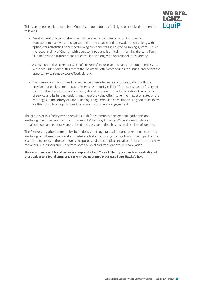

This is an on-going dilemma to both Council and operator and is likely to be resolved through the following:

- **•** Development of a comprehensive, not necessarily complex or voluminous, Asset Management Plan which recognises both maintenance and renewals options, along with options for retrofitting poorly performing components such as the plumbing systems. This is the responsibility of Council, with operator input, and is critical in informing the Long Term Plan to provide a further means of consultation along with operational transparency;
- **•** A cessation to the current practise of "tinkering" to resolve mechanical or equipment issues. While well intentioned, this masks the inevitable, often compounds the issues, and delays the opportunity to remedy cost-effectively; and
- **•** Transparency in the cost and consequence of maintenance and upkeep, along with the provided rationale as to the cost of service. A minority call for "free access" to the facility on the basis that it is a community service, should be countered with the rationale around cost of service and its funding options and therefore value offering, i.e. the impact on rates or the challenges of the lottery of Grant Funding. Long Term Plan consultation is a good mechanism for this but so too is upfront and transparent community engagement.

The genesis of this facility was to provide a hub for community engagement, gathering, and wellbeing; the focus very much on "Community" forming its name. While a community focus remains valued and generally appreciated, the passage of time has resulted in a loss of identity.

The Centre still gathers community, but it does so through (aquatic) sport, recreation, health and wellbeing, and these drivers and attributes are blatantly missing from its brand. The impact of this is a failure to stress to the community the purpose of the complex, and also a failure to attract new members, subscribers and users from both the local and transient / tourist population.

The determination of brand values is a responsibility of Council. The support and demonstration of those values and brand structures sits with the operator, in this case Sport Hawke's Bay.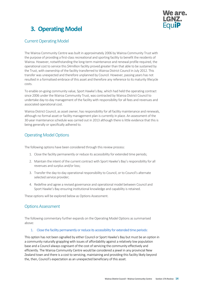

## <span id="page-12-0"></span>**3. Operating Model**

#### <span id="page-12-1"></span>Current Operating Model

The Wairoa Community Centre was built in approximately 2006 by Wairoa Community Trust with the purpose of providing a first-class recreational and sporting facility to benefit the residents of Wairoa. However, notwithstanding the long-term maintenance and renewal profile required, the operational cost to service this \$4million facility proved greater than that able to be sustained by the Trust, with ownership of the facility transferred to Wairoa District Council in July 2012. This transfer was unexpected and therefore unplanned by Council. However, passing years has not resulted in a formalised embrace of this asset and therefore any reference to its maturity lifecycle costs.

To enable on-going community value, Sport Hawke's Bay, which had held the operating contract since 2006 under the Wairoa Community Trust, was contracted by Wairoa District Council to undertake day-to-day management of the facility with responsibility for all fees and revenues and associated operational cost.

Wairoa District Council, as asset owner, has responsibility for all facility maintenance and renewals, although no formal asset or facility management plan is currently in place. An assessment of the 30-year maintenance schedule was carried out in 2013 although there is little evidence that this is being generally or specifically adhered to.

#### <span id="page-12-2"></span>Operating Model Options

The following options have been considered through this review process:

- 1. Close the facility permanently or reduce its accessibility for extended time periods;
- 2. Maintain the intent of the current contract with Sport Hawke's Bay's responsibility for all revenues and surplus and/or loss;
- 3. Transfer the day-to-day operational responsibility to Council, or to Council's alternate selected service provider;
- 4. Redefine and agree a revised governance and operational model between Council and Sport Hawke's Bay ensuring institutional knowledge and capability is retained.

These options will be explored below as Options Assessment.

#### <span id="page-12-3"></span>Options Assessment

The following commentary further expands on the Operating Model Options as summarised above:

#### 1. Close the facility permanently or reduce its accessibility for extended time periods:

This option has not been signalled by either Council or Sport Hawke's Bay but must be an option in a community naturally grappling with issues of affordability against a relatively low population base and a Council always cognisant of the cost of servicing the community effectively and efficiently. The Wairoa Community Centre would be considered a jewel in any provincial New Zealand town and there is a cost to servicing, maintaining and providing this facility likely beyond the, then, Council's expectation as an unexpected beneficiary of this asset.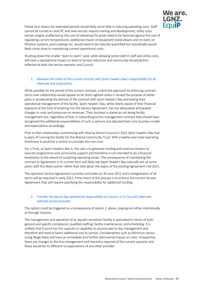

Partial shut-downs for extended periods would likely serve little in reducing operating costs. Staff cannot be turned on and off, and new recruits require training and development; utility costs remain largely unaffected as the cost of reheating the pools need to be factored against the cost of regulating current temperatures; additional impact of equipment stand-downs and re-starts on filtration systems, pool coatings etc. would need to be robustly quantified but anecdotally would likely come close to maintaining current operational costs.

Shutting down the smaller 'learn to swim" pool, while allowing some relief in staff and utility costs, will have a reputational impact on level of service reduction and community dissatisfaction reflected at both the service operator and Council.

#### 2. Maintain the intent of the current contract with Sport Hawke's Bay's responsibility for all revenues and surplus/loss:

While possible for the period of the current contract, a hard-line approach to enforcing contract terms over relationship would appear to be short-sighted unless it served the purpose of either party in accelerating the demise of the contract with Sport Hawke's Bay and exiting their operational management of the facility. Sport Hawke's Bay, while clearly aware of their financial exposure at the time of entering into the Service Agreement, has not adequately anticipated changes in costs and pressures on revenues. Their business is stated as not being facility management but, regardless of that, in subscribing to this management contract they should have recognised the additional responsibilities of such a venture and adjusted their core business model and expectations accordingly.

Prior to their relationship commencing with Wairoa District Council in 2012 Sport Hawke's Bay had 6-years of running the facility for the Wairoa Community Trust. With a twelve year total operating timeframe it would be a stretch to consider this non-core.

For a Trust, as Sport Hawke's Bay is, the role is to generate funding and revenue streams to execute programmes and community support and therefore is not intended to be a financial benefactor to the extent of sustaining operating losses. The consequence of maintaining the contract or Agreement in its current form will likely see Sport Hawke's Bay naturally exit at some point, with thislikely sooner rather than later given the expiry of the existing Agreement mid-2021.

The operative Service Agreement currently concludes on 30 June 2021 and a renegotiation of all terms will be required in early 2021. If the intent of this process is to enforce the current Service Agreement, that will require specifying the responsibility for additional funding.

#### 3. Transfer the day-to-day operational responsibility to Council, or to Council's alternate selected service provider:

This option could be triggered as a consequence of option 2, above, playing out either intentionally or through inaction.

The management and operation of an aquatic recreation facility is specialised in terms of both general and specific compliance; qualified staffing; facility maintenance; and scheduling. It is unlikely that Council has the capacity or capability to assume day-to-day management and therefore will need to factor additional cost to service. Considerations such as Minimum versus Living Wage Rates will have an immediate and further detrimental impact on costs. Irrespective, there are changes to the line management and hierarchy required of the current operator and these would be no different to expectations of any other provider.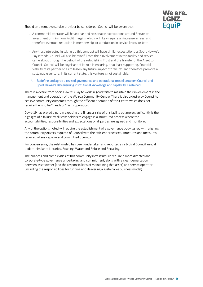

Should an alternative service provider be considered, Council will be aware that:

- **•** A commercial operator will have clear and reasonable expectations around Return on Investment or minimum Profit margins which will likely require an increase in fees, and therefore eventual reduction in membership, or a reduction in service levels, or both.
- **•** Any trust interested in taking up this contract will have similar expectations as Sport Hawke's Bay intends. Council will also be mindful that their involvement in this facility and service came about through the default of the establishing Trust and the transfer of the Asset to Council. Council will be cognisant of its role in ensuring, or at least supporting, financial viability of its partner so as to lessen any future impact of "failure" and therefore promote a sustainable venture. In its current state, this venture is not sustainable.
- 4. Redefine and agree a revised governance and operational model between Council and Sport Hawke's Bay ensuring institutional knowledge and capability is retained:

There is a desire from Sport Hawke's Bay to work in good faith to maintain their involvement in the management and operation of the Wairoa Community Centre. There is also a desire by Council to achieve community outcomes through the efficient operation of this Centre which does not require them to be "hands on" in its operation.

Covid-19 has played a part in exposing the financial risks of this facility but more significantly is the highlight of a failure by all stakeholders to engage in a structured process where the accountabilities, responsibilities and expectations of all parties are agreed and monitored.

Any of the options noted will require the establishment of a governance body tasked with aligning the community drivers required of Council with the efficient processes, structures and measures required of any capable and committed operator.

For convenience, the relationship has been undertaken and reported as a typical Council annual update, similar to Libraries, Roading, Water and Refuse and Recycling.

The nuances and complexities of this community infrastructure require a more directed and corporate-type governance undertaking and commitment, along with a clear demarcation between asset owner (and the responsibilities of maintaining that asset) and service operator (including the responsibilities for funding and delivering a sustainable business model).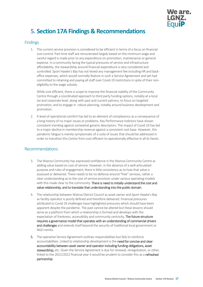

## <span id="page-15-0"></span>**5. Section 17A Findings & Recommendations**

#### <span id="page-15-1"></span>**Findings**

1. The current service provision is considered to be efficient in terms of a focus on financial cost control. Part time staff are remunerated largely based on the minimum wage and careful regard is made prior to any expenditure on promotion, maintenance or general expense. In a community facing the typical pressures of service and infrastructure affordability, the stewardship around financial expenditure is very considered and controlled. Sport Hawke's Bay has not levied any management fee including HR and backoffice expenses, which would normally feature in such a Service Agreement and yet had committed to retaining and paying all staff over Covid-19 restrictions in spite of their noneligibility to the wage subsidy.

While cost efficient, there is scope to improve the financial viability of the Community Centre through a coordinated approach to third party funding options, notably at a local iwi and corporate level, along with past and current patrons; to focus on targeted promotion; and to engage in robust planning, notably around business development and promotion.

2. A level of operational comfort has led to an element of complacency as a consequence of a long history of no major issues or problems. Key Performance Indictors have shown consistent trending against somewhat generic descriptors. The impact of Covid-19 has led to a major decline in membership revenue against a consistent cost base. However, this pandemic fatigue is merely symptomatic of a suite of issues that should be addressed in order to transition this Centre from cost efficient to operationally effective in all its facets.

#### <span id="page-15-2"></span>Recommendations

- 3. The Wairoa Community has expressed confidence in the Wairoa Community Centre as adding value based on cost of service. However, in the absence of a well-articulated purpose and rules of engagement, there is little consistency as to how that value is assessed or delivered. There needs to be no defence around "free" services, rather a clear understanding as to the cost of service provision under various operating models with this made clear to the community. There is need to initially understand the cost and value relationship, and to translate that understanding into the public domain.
- 4. The relationship between Wairoa District Council as asset owner and Sport Hawke's Bay as facility operator is poorly defined and therefore delivered. Financial pressures attributed to Covid-19 challenges have highlighted pressures which should have been apparent despite the pandemic. The past cannot be altered but these lessons should serve as a platform from which a relationship is formed and develops with the expectation of frankness, accessibility and community centricity. The future structure requires a governance model that operates with an understanding of commercial drivers and challenges and extends itself beyond the security of traditional local government or NGO remits.
- 5. The operative Service Agreement outlines responsibilities but fails to reinforce accountabilities. Linked to relationship development is the need for concise and clear accountability between asset owner and operator including funding obligations, asset stewardship, etc. Given the Service Agreement is due for renewal, renegotiation, or other, linked to the 2021/2022 financial year it would be prudent to consider this as a **refreshed** partnership.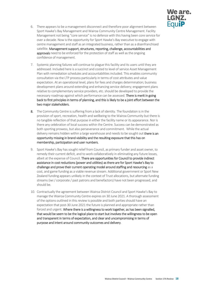

- 6. There appears to be a management disconnect and therefore poor alignment between Sport Hawke's Bay Management and Wairoa Community Centre Management. Facility Management not being "core service" is no defence with this having been core service for over a decade. Now is the opportunity for Sport Hawke's Bay executive to engage with centre management and staff as an integrated business, rather than as a disenfranchised satellite. Management support, structures, reporting, challenge, accountabilities and approvals need to be enforced for the protection of staff as well as the ongoing confidence of management.
- 7. Systemic planning failures will continue to plague this facility and its users until they are addressed. Included here is a succinct and costed to level of service Asset Management Plan with remediation schedules and accountabilities included. This enables community consultation via the LTP process particularly in terms of cost attributes and value expectation. At an operational level, plans for fees and charges determination; business development plans around extending and enhancing service delivery; engagement plans relative to complementary service providers, etc. should be developed to provide the necessary roadmap against which performance can be assessed. There is merit in going back to first principles in terms of planning, and this is likely to be a joint effort between the two major stakeholders.
- 8. The Community Centre is suffering from a lack of identity. The foundation is in the provision of sport, recreation, health and wellbeing to the Wairoa Community but there is no tangible reflection of that purpose in either the facility name or its appearance. Nor is there any celebration of local success within the Centre. Success can be demonstrated as both sporting prowess, but also perseverance and commitment. While the actual delivery remains hidden within a large warehouse and needs to be sought out there is an opportunity missing in brand visibility and the resulting exposure that this has on membership, participation and user numbers.
- 9. Sport Hawke's Bay has sought relief from Council, as primary funder and asset owner, to remedy their current deficit, and to work collaboratively in eliminating any future losses, albeit at the expense of Council. There are opportunities for Council to provide indirect assistance in cost reductions (power and utilities) as there are for Sport Hawke's Bay to challenge and prove their current operating model around staffing and resourcing as a cost, and game funding as a viable revenue stream. Additional government or Sport New Zealand funding appears unlikely in the context of Trust allocations, but alternate funding streams (iwi / corporate / past patrons and benefactors) have not been progressed, and should be.
- 10. Contractually the agreement between Wairoa District Council and Sport Hawke's Bay to manage the Wairoa Community Centre expires on 30 June 2021. A thorough assessment of the options outlined in this review is possible and both parties should have an expectation that post-30 June 2021 the future is planned and appropriate rather than forced and urgent. Where there is a willingness to work together, as has been signalled, that would be seem to be the logical place to start but involves the willingness to be open and transparent in terms of expectation, and clear and uncompromising in terms of purpose and intent around community outcomes and delivery.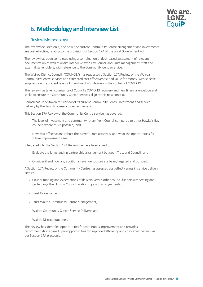

## <span id="page-17-0"></span>**6. Methodology and Interview List**

#### <span id="page-17-1"></span>**Review Methodology**

The review focussed on if, and how, the current Community Centre arrangement and investments are cost effective, relating to the provisions of Section 17A of the Local Government Act.

The review has been completed using a combination of desk-based assessment of relevant documentation as well as onsite interviews with key Council and Trust management, staff and external stakeholders, with reference to the Community Centre service.

The Wairoa District Council ("COUNCIL") has requested a Section 17A Review of the Wairoa Community Centre services and estimated cost effectiveness and value for money, with specific emphasis on the current levels of investment and delivery in the context of COVID 19.

The review has taken cognisance of Council's COVID 19 recovery and new financial envelope and seeks to ensure the Community Centre services align to this new context.

Council has undertaken this review of its current Community Centre investment and service delivery by the Trust to assess cost-effectiveness.

This Section 17A Review of the Community Centre service has covered:

- **•** The level of investment and community return from Council compared to other Hawke's Bay councils where this is possible; and
- **•** How cost effective and robust the current Trust activity is, and what the opportunities for future improvements are.

Integrated into the Section 17A Review we have been asked to:

- **•** Evaluate the longstanding partnership arrangement between Trust and Council; and
- **•** Consider if and how any additional revenue sources are being targeted and pursued.

A Section 17A Review of the Community Centre has assessed cost effectiveness in service delivery across:

- **•** Council funding and expectations of delivery versus other council funders (respecting and protecting other Trust – Council relationships and arrangements);
- **•** Trust Governance;
- **•** Trust Wairoa Community Centre Management;
- **•** Wairoa Community Centre Service Delivery; and
- **•** Wairoa District outcomes.

The Review has identified opportunities for continuous improvement and provides recommendations based upon opportunities for improved efficiency and cost- effectiveness, as per Section 17A protocols.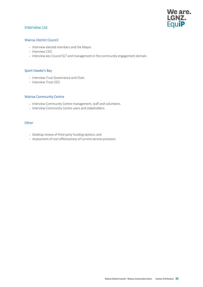## We are. LGNZ.<br>Equi**P**

#### <span id="page-18-0"></span>Interview List

#### Wairoa District Council

- **•** Interview elected members and the Mayor.
- **•** Interview CEO.
- **•** Interview key Council SLT and management in the community engagement domain.

#### Sport Hawke's Bay

- **•** Interview Trust Governance and Chair.
- **•** Interview Trust CEO.

#### Wairoa Community Centre

- Interview Community Centre management, staff and volunteers.
- **•** Interview Community Centre users and stakeholders.

#### **Other**

- **•** Desktop review of third party funding options; and
- **•** Assessment of cost effectiveness of current service provision.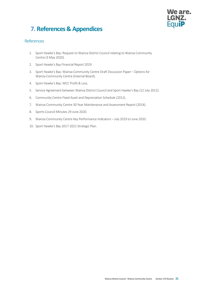# **We are.**

## <span id="page-19-0"></span>**7. References & Appendices**

#### <span id="page-19-1"></span>References

- 1. Sport Hawke's Bay: Request to Wairoa District Council relating to Wairoa Community Centre (3 May 2020).
- 2. Sport Hawke's Bay Financial Report 2019.
- 3. Sport Hawke's Bay: Wairoa Community Centre Draft Discussion Paper Options for Wairoa Community Centre (Internal Board).
- 4. Sport Hawke's Bay: WCC Profit & Loss.
- 5. Service Agreement between Wairoa District Council and Sport Hawke's Bay (12 July 2012).
- 6. Community Centre Fixed Asset and Depreciation Schedule (2012).
- 7. Wairoa Community Centre 30 Year Maintenance and Assessment Report (2014).
- 8. Sports Council Minutes 29 June 2020.
- 9. Wairoa Community Centre Key Performance Indicators July 2019 to June 2020.
- 10. Sport Hawke's Bay 2017-2021 Strategic Plan.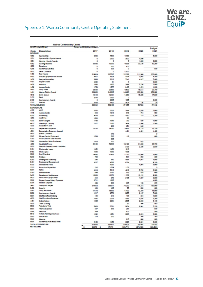<span id="page-20-0"></span>

| <b>Wairoa Communitry Centre</b> |                                                                 |                                   |                 |                 |                   |                   |  |
|---------------------------------|-----------------------------------------------------------------|-----------------------------------|-----------------|-----------------|-------------------|-------------------|--|
|                                 | SPORT HAWNES BAY                                                | Printed on 00/02/20 at 10:59 am t |                 |                 |                   | Budget            |  |
| Code                            | Description                                                     | 2017                              | 2018            | 2019            | 2020              | 2021              |  |
| <b>REVENUE</b><br>1000          | Sponsoahlp                                                      | 9500                              | 7500            | 10783           |                   | 5,000             |  |
| 1001                            | Sponsorship - Sports Awards                                     | ٥                                 | 2500            | 3500            | 1,500             |                   |  |
| 1051                            | Carring - Sports Awards                                         | ō                                 | ٥               | ٥               | 1,900             | 2,500             |  |
| 1052                            | Gaming Machine                                                  | 56430                             | 40000           | 15990           | 33.126            | 50,200            |  |
| 1200                            | Donational                                                      | o                                 | 500             | œ               |                   |                   |  |
| 1205                            | World/vog/AzIVEies                                              | o                                 | 326             | ٥               |                   | 500               |  |
| 1410<br><b>SADD</b>             | Other Contracts<br>Fee Income                                   | o<br>219919                       | Ō<br>227707     | 12000<br>222302 |                   |                   |  |
| 1453                            | Veruell quipment Hire Income                                    | 9867                              | 4824            | 4194            | 211,389<br>3.082  | 203,000<br>4,400  |  |
| 1456                            | League Competition                                              | 0934                              | 8218            | 7241            | 4.917             | 7,000             |  |
| 1457                            | <b>Ropes Course</b>                                             | 4062                              | Θt              | ٥               |                   | 2,500             |  |
| 1450                            | Aerobica                                                        | 1500                              | 1800            | 2999            | 5,154             | 3,000             |  |
| 1400                            | <b>Access Cards</b>                                             | 1754                              | 1577            | 2405            | 1,474             | 1,200             |  |
| 5400                            | Shop Sales                                                      | 22660                             | 20500           | 19,502          | 15,544            | 20,700            |  |
| 1401<br>1518                    | Wainse District Council<br>Swim School                          | 239900<br>19115                   | 242005<br>12491 | 240020<br>14600 | 203.592<br>15,225 | 258,592<br>17,500 |  |
| 2150                            | Rent                                                            | 2500                              | 2500            | o               |                   |                   |  |
| 2106                            | Sportsperson Awards                                             | o                                 | 3005            | 10.05           |                   | 2,000             |  |
| 2500                            | <b>Interest</b>                                                 | 2332                              | 465             | 3574            | 즈                 | 20                |  |
| TOTAL REVENUE                   |                                                                 | 000042                            | 502100          | 571005          | \$47530           | 578162            |  |
| <b>EXPENDITURE</b>              |                                                                 |                                   |                 |                 |                   |                   |  |
| 4100                            | ACC.                                                            | 2850                              | 2520            | 2644            | 3.820             | 3,000             |  |
| 4175<br>4200                    | Access Cards<br><b>Advertising</b>                              | 834<br>4078                       | 1018<br>3083    | 010<br>1880     | 764<br>723        | 650<br>3,200      |  |
| 42.50                           | <b>Audit Fee</b>                                                | 1500                              |                 | 50              |                   |                   |  |
| 4300                            | Bank Charges                                                    | 1786                              | 1346            | 792             | <b>ADO</b>        | 1,000             |  |
| 44.25                           | Cleaning & Laundry                                              | 7377                              | 5367            | 3454            | 3,958             | 3,500             |  |
| 4305                            | Computer R.& M.                                                 |                                   | 923             | 671             | 348               |                   |  |
| 4500                            | Depreciation Expense                                            | 13736                             | 14000           | 10000           | 9.718             | 12,100            |  |
| 4501                            | Depreciation Expense - Leased                                   |                                   |                 | 4421            | 4.421             | 4,422             |  |
| 5000                            | Events Contracts                                                |                                   | 473             |                 |                   | ٥                 |  |
| 5567<br>4750                    | <b>Figures Centre Equipment</b><br>Gain / Loss on Sale of Asset | 1534                              | 556<br>665      | $-62$           |                   | 600               |  |
| 2,00                            | Gymnasium Minor Equipment                                       | 1473                              | 170             |                 | 822               |                   |  |
| 4900                            | Heat Light Power                                                | 82130                             | 79836           | 102122          | 01.305            | 80,700            |  |
| 5050                            | Interest - Leased Assets - Vehicles                             |                                   |                 | 3433            | 2,425             | 2,500             |  |
| 5151                            | Photocopier Lease                                               | 1452                              | 1452            | 1210            |                   |                   |  |
| 5150                            | Photocopies                                                     | 1000                              | 1050            | 1005            |                   |                   |  |
| 5540<br>5200                    | Pool Chemical<br>Postage                                        | 14092<br>725                      | 13430           | 11345<br>501    | 10,000<br>250     | 8,000<br>300      |  |
| 5250                            | Printing and Stationery                                         | 848                               | 645             | 1001            | 1,097             | 1,000             |  |
| 5401                            | Professional Development                                        | 4037                              | 4500            | 0324            |                   | 9,200             |  |
| 5300                            | Professional Fees                                               |                                   | 1269            |                 | 1,994             | 5,000             |  |
| 5320                            | Promotion/Sigmenting                                            | $2 + 0$                           | 1709            | 1155            |                   | ٥                 |  |
| 5301                            | <b>Rates</b>                                                    | 6414                              | 5313            | 4912            | 5.792             | 6,300             |  |
| 5300                            | Refreshments                                                    | 699                               | 1101            | 516             | 415               | 600               |  |
| 5400<br>5420                    | Repairs and Maintenance                                         | 10808                             | 12372           | 11332           | 10.122            | 9,500             |  |
| 55.00                           | Resources Equip Library<br>Ropes Course Safety Expenses         | 842<br>3711                       | 270<br>1835     | 3105            | 1,067             | 2,900<br>4,000    |  |
| 5304                            | <b>Rubbish Disposal</b>                                         | 499                               | 630             | 307             | $+00$             | 570               |  |
| 5440                            | Salary and Wages                                                | 379854                            | 300377          | 410002          | 440.444           | 400,000           |  |
| 5400                            | Security                                                        | 423                               | 405             | 75              | 580               | 600               |  |
| 2000                            | Shop purchases                                                  | 17174                             | 15835           | 14192           | 12,400            | 15,000            |  |
| 5000                            | Sportsperson Awards                                             | 1217                              | 9770            | <b>SINT</b>     | 2.107             | 7,000             |  |
| 6001<br>4050                    | Staff Benefits Welbeing                                         | 140                               | 210             | 176             | 334               | 1,900             |  |
| 4451                            | Staff Functions/Expenses<br>Subscriptions                       | 1865<br>1005                      | 2259<br>2254    | 19.05<br>2505   | 1,585<br>2,288    | 3,200<br>3,100    |  |
| 4000                            | <b>Team Building</b>                                            |                                   |                 | 47              | 200               | 050               |  |
| 5500                            | Telephone Tolls                                                 | 5900                              | 5761            | 5004            | 6,901             | 7,250             |  |
| 5004                            | <b>Thanks Expense</b>                                           | 257                               | 340             | 201             |                   | 500               |  |
| 5546                            | <b>Uniforms</b>                                                 | 389                               |                 | ROS             |                   | 500               |  |
| 26                              | Vehicle Running Insurance                                       | 1292                              | 1251            | 3260            | 2,974             | 3,500             |  |
| 5500                            | Venue Hire                                                      | 174                               | 200             |                 | 350               | 360               |  |
| 5540<br>55.01                   | Website<br>Workshops/Activities/Events                          |                                   |                 | <b>BIS</b>      | 680               | 000               |  |
|                                 | TOTAL EXPENDITURE                                               | 2160<br>573668                    | 1459<br>504417  | 0320<br>020020  | 2,021<br>621001   | 2,000<br>676702   |  |
| <b>NET INCOME</b>               |                                                                 | s<br>26,573 \$                    | 17,770          | (\$66,773)      | (574, 123)        | (500, 540)        |  |
|                                 |                                                                 |                                   |                 |                 |                   |                   |  |

We are.<br>LGNZ.<br>Equi**P**